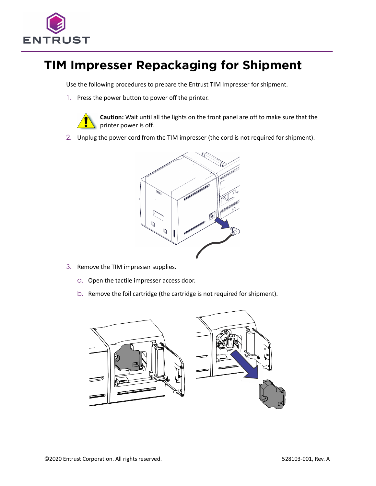

## **TIM Impresser Repackaging for Shipment**

Use the following procedures to prepare the Entrust TIM Impresser for shipment.

1. Press the power button to power off the printer.



**Caution:** Wait until all the lights on the front panel are off to make sure that the printer power is off.

2. Unplug the power cord from the TIM impresser (the cord is not required for shipment).



- 3. Remove the TIM impresser supplies.
	- a. Open the tactile impresser access door.
	- b. Remove the foil cartridge (the cartridge is not required for shipment).

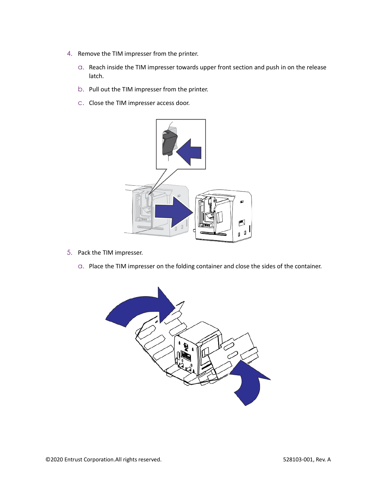- 4. Remove the TIM impresser from the printer.
	- a. Reach inside the TIM impresser towards upper front section and push in on the release latch.
	- b. Pull out the TIM impresser from the printer.
	- c. Close the TIM impresser access door.



- 5. Pack the TIM impresser.
	- a. Place the TIM impresser on the folding container and close the sides of the container.